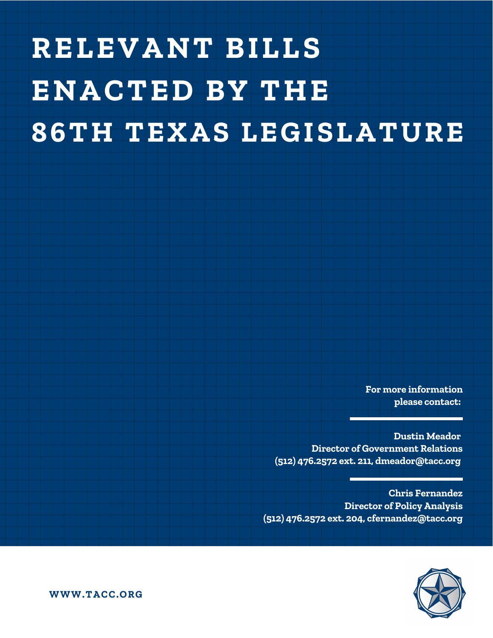# **RELEVANT BILLS ENACTED BY THE 86TH TEXAS LEGISLATURE**

**For more information please contact:**

**Dustin Meador Director of Government Relations (512) 476.2572 ext. 211, dmeador@tacc.org**

**Chris Fernandez Director of Policy Analysis (512) 476.2572 ext. 204, cfernandez@tacc.org**



**WWW.TACC.ORG**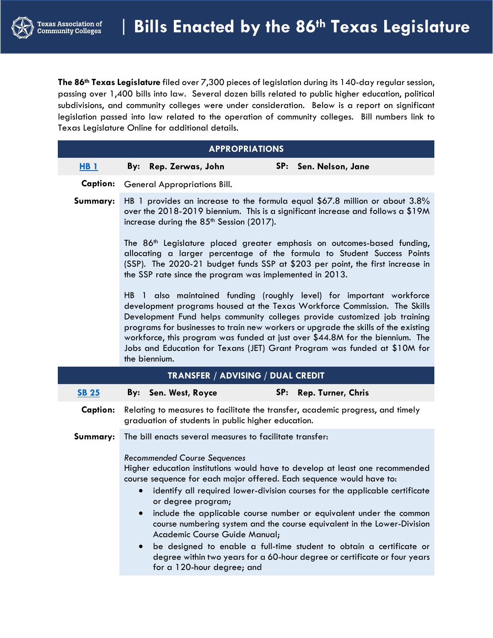**The 86th Texas Legislature** filed over 7,300 pieces of legislation during its 140-day regular session, passing over 1,400 bills into law. Several dozen bills related to public higher education, political subdivisions, and community colleges were under consideration. Below is a report on significant legislation passed into law related to the operation of community colleges. Bill numbers link to Texas Legislature Online for additional details.

|                    | <b>APPROPRIATIONS</b>                                                                                                                                                                                                    |                                                                                                                                                                                                                                                                                                                                                                                                                                                                                                                                            |  |  |  |  |  |  |
|--------------------|--------------------------------------------------------------------------------------------------------------------------------------------------------------------------------------------------------------------------|--------------------------------------------------------------------------------------------------------------------------------------------------------------------------------------------------------------------------------------------------------------------------------------------------------------------------------------------------------------------------------------------------------------------------------------------------------------------------------------------------------------------------------------------|--|--|--|--|--|--|
| $H$ B <sub>1</sub> | By:<br>Rep. Zerwas, John                                                                                                                                                                                                 | SP: Sen. Nelson, Jane                                                                                                                                                                                                                                                                                                                                                                                                                                                                                                                      |  |  |  |  |  |  |
| <b>Caption:</b>    | <b>General Appropriations Bill.</b>                                                                                                                                                                                      |                                                                                                                                                                                                                                                                                                                                                                                                                                                                                                                                            |  |  |  |  |  |  |
| Summary:           | HB 1 provides an increase to the formula equal \$67.8 million or about 3.8%<br>over the $2018-2019$ biennium. This is a significant increase and follows a \$19M<br>increase during the 85 <sup>th</sup> Session (2017). |                                                                                                                                                                                                                                                                                                                                                                                                                                                                                                                                            |  |  |  |  |  |  |
|                    | the SSP rate since the program was implemented in 2013.                                                                                                                                                                  | The 86 <sup>th</sup> Legislature placed greater emphasis on outcomes-based funding,<br>allocating a larger percentage of the formula to Student Success Points<br>(SSP). The 2020-21 budget funds SSP at \$203 per point, the first increase in                                                                                                                                                                                                                                                                                            |  |  |  |  |  |  |
|                    | the biennium.                                                                                                                                                                                                            | HB 1 also maintained funding (roughly level) for important workforce<br>development programs housed at the Texas Workforce Commission. The Skills<br>Development Fund helps community colleges provide customized job training<br>programs for businesses to train new workers or upgrade the skills of the existing<br>workforce, this program was funded at just over \$44.8M for the biennium. The<br>Jobs and Education for Texans (JET) Grant Program was funded at \$10M for                                                         |  |  |  |  |  |  |
|                    | TRANSFER / ADVISING / DUAL CREDIT                                                                                                                                                                                        |                                                                                                                                                                                                                                                                                                                                                                                                                                                                                                                                            |  |  |  |  |  |  |
| <b>SB 25</b>       | By: Sen. West, Royce                                                                                                                                                                                                     | SP:<br>Rep. Turner, Chris                                                                                                                                                                                                                                                                                                                                                                                                                                                                                                                  |  |  |  |  |  |  |
| <b>Caption:</b>    | graduation of students in public higher education.                                                                                                                                                                       | Relating to measures to facilitate the transfer, academic progress, and timely                                                                                                                                                                                                                                                                                                                                                                                                                                                             |  |  |  |  |  |  |
| Summary:           | The bill enacts several measures to facilitate transfer:                                                                                                                                                                 |                                                                                                                                                                                                                                                                                                                                                                                                                                                                                                                                            |  |  |  |  |  |  |
|                    | <b>Recommended Course Sequences</b><br>or degree program;<br>Academic Course Guide Manual;                                                                                                                               | Higher education institutions would have to develop at least one recommended<br>course sequence for each major offered. Each sequence would have to:<br>identify all required lower-division courses for the applicable certificate<br>include the applicable course number or equivalent under the common<br>course numbering system and the course equivalent in the Lower-Division<br>be designed to enable a full-time student to obtain a certificate or<br>degree within two years for a 60-hour degree or certificate or four years |  |  |  |  |  |  |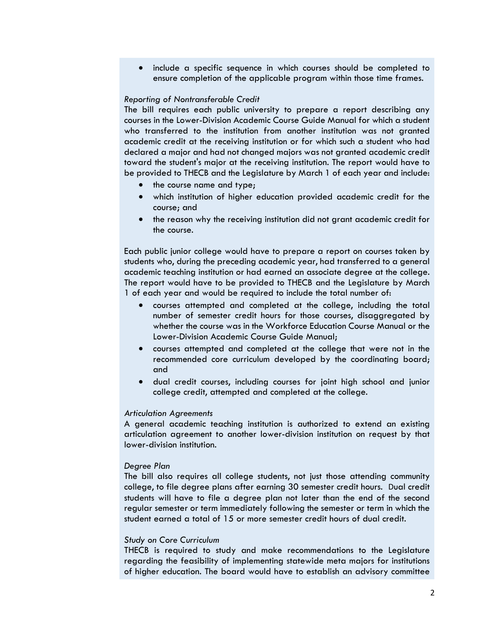• include a specific sequence in which courses should be completed to ensure completion of the applicable program within those time frames.

# *Reporting of Nontransferable Credit*

The bill requires each public university to prepare a report describing any courses in the Lower-Division Academic Course Guide Manual for which a student who transferred to the institution from another institution was not granted academic credit at the receiving institution or for which such a student who had declared a major and had not changed majors was not granted academic credit toward the student's major at the receiving institution. The report would have to be provided to THECB and the Legislature by March 1 of each year and include:

- the course name and type;
- which institution of higher education provided academic credit for the course; and
- the reason why the receiving institution did not grant academic credit for the course.

Each public junior college would have to prepare a report on courses taken by students who, during the preceding academic year, had transferred to a general academic teaching institution or had earned an associate degree at the college. The report would have to be provided to THECB and the Legislature by March 1 of each year and would be required to include the total number of:

- courses attempted and completed at the college, including the total number of semester credit hours for those courses, disaggregated by whether the course was in the Workforce Education Course Manual or the Lower-Division Academic Course Guide Manual;
- courses attempted and completed at the college that were not in the recommended core curriculum developed by the coordinating board; and
- dual credit courses, including courses for joint high school and junior college credit, attempted and completed at the college.

# *Articulation Agreements*

A general academic teaching institution is authorized to extend an existing articulation agreement to another lower-division institution on request by that lower-division institution.

#### *Degree Plan*

The bill also requires all college students, not just those attending community college, to file degree plans after earning 30 semester credit hours. Dual credit students will have to file a degree plan not later than the end of the second regular semester or term immediately following the semester or term in which the student earned a total of 15 or more semester credit hours of dual credit.

# *Study on Core Curriculum*

THECB is required to study and make recommendations to the Legislature regarding the feasibility of implementing statewide meta majors for institutions of higher education. The board would have to establish an advisory committee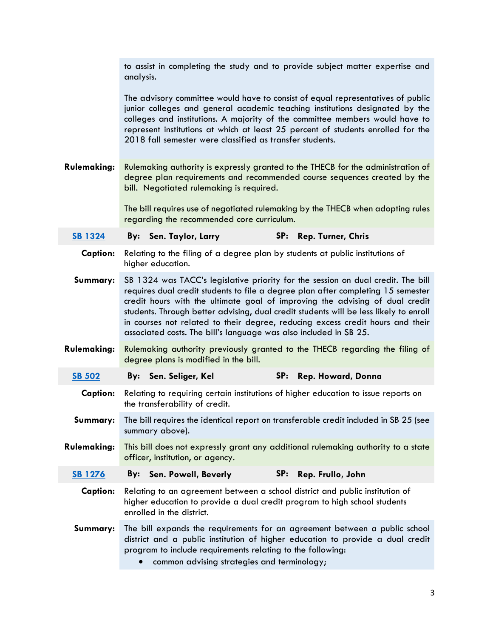|                    | to assist in completing the study and to provide subject matter expertise and<br>analysis.                                                                                                                                                                                                                                                                                                                                                                                                           |  |  |  |  |  |  |  |
|--------------------|------------------------------------------------------------------------------------------------------------------------------------------------------------------------------------------------------------------------------------------------------------------------------------------------------------------------------------------------------------------------------------------------------------------------------------------------------------------------------------------------------|--|--|--|--|--|--|--|
|                    | The advisory committee would have to consist of equal representatives of public<br>junior colleges and general academic teaching institutions designated by the<br>colleges and institutions. A majority of the committee members would have to<br>represent institutions at which at least 25 percent of students enrolled for the<br>2018 fall semester were classified as transfer students.                                                                                                      |  |  |  |  |  |  |  |
| <b>Rulemaking:</b> | Rulemaking authority is expressly granted to the THECB for the administration of<br>degree plan requirements and recommended course sequences created by the<br>bill. Negotiated rulemaking is required.                                                                                                                                                                                                                                                                                             |  |  |  |  |  |  |  |
|                    | The bill requires use of negotiated rulemaking by the THECB when adopting rules<br>regarding the recommended core curriculum.                                                                                                                                                                                                                                                                                                                                                                        |  |  |  |  |  |  |  |
| <b>SB 1324</b>     | SP: Rep. Turner, Chris<br>By: Sen. Taylor, Larry                                                                                                                                                                                                                                                                                                                                                                                                                                                     |  |  |  |  |  |  |  |
| <b>Caption:</b>    | Relating to the filing of a degree plan by students at public institutions of<br>higher education.                                                                                                                                                                                                                                                                                                                                                                                                   |  |  |  |  |  |  |  |
| Summary:           | SB 1324 was TACC's legislative priority for the session on dual credit. The bill<br>requires dual credit students to file a degree plan after completing 15 semester<br>credit hours with the ultimate goal of improving the advising of dual credit<br>students. Through better advising, dual credit students will be less likely to enroll<br>in courses not related to their degree, reducing excess credit hours and their<br>associated costs. The bill's language was also included in SB 25. |  |  |  |  |  |  |  |
| <b>Rulemaking:</b> | Rulemaking authority previously granted to the THECB regarding the filing of<br>degree plans is modified in the bill.                                                                                                                                                                                                                                                                                                                                                                                |  |  |  |  |  |  |  |
| <b>SB 502</b>      | SP:<br>Rep. Howard, Donna<br>By: Sen. Seliger, Kel                                                                                                                                                                                                                                                                                                                                                                                                                                                   |  |  |  |  |  |  |  |
| <b>Caption:</b>    | Relating to requiring certain institutions of higher education to issue reports on<br>the transferability of credit.                                                                                                                                                                                                                                                                                                                                                                                 |  |  |  |  |  |  |  |
| Summary:           | The bill requires the identical report on transferable credit included in SB 25 (see<br>summary above).                                                                                                                                                                                                                                                                                                                                                                                              |  |  |  |  |  |  |  |
| <b>Rulemaking:</b> | This bill does not expressly grant any additional rulemaking authority to a state<br>officer, institution, or agency.                                                                                                                                                                                                                                                                                                                                                                                |  |  |  |  |  |  |  |
| <b>SB 1276</b>     | SP:<br>Rep. Frullo, John<br>Sen. Powell, Beverly<br>By:                                                                                                                                                                                                                                                                                                                                                                                                                                              |  |  |  |  |  |  |  |
| <b>Caption:</b>    | Relating to an agreement between a school district and public institution of<br>higher education to provide a dual credit program to high school students<br>enrolled in the district.                                                                                                                                                                                                                                                                                                               |  |  |  |  |  |  |  |
| Summary:           | The bill expands the requirements for an agreement between a public school<br>district and a public institution of higher education to provide a dual credit<br>program to include requirements relating to the following:<br>common advising strategies and terminology;                                                                                                                                                                                                                            |  |  |  |  |  |  |  |
|                    |                                                                                                                                                                                                                                                                                                                                                                                                                                                                                                      |  |  |  |  |  |  |  |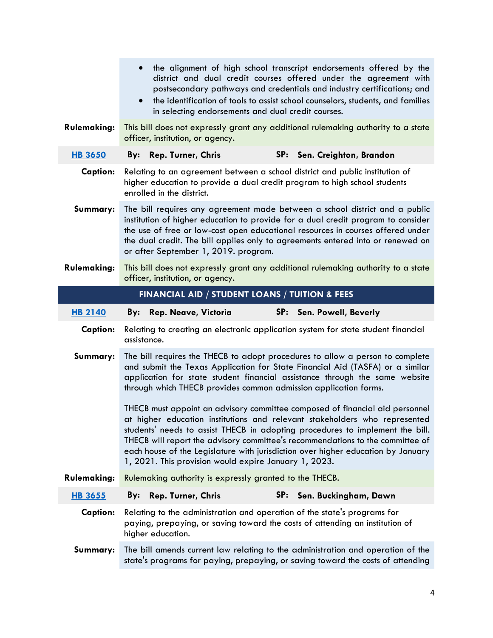|                    | the alignment of high school transcript endorsements offered by the<br>$\bullet$<br>district and dual credit courses offered under the agreement with<br>postsecondary pathways and credentials and industry certifications; and<br>the identification of tools to assist school counselors, students, and families<br>$\bullet$<br>in selecting endorsements and dual credit courses.                                                                                     |  |  |  |  |  |
|--------------------|----------------------------------------------------------------------------------------------------------------------------------------------------------------------------------------------------------------------------------------------------------------------------------------------------------------------------------------------------------------------------------------------------------------------------------------------------------------------------|--|--|--|--|--|
| Rulemaking:        | This bill does not expressly grant any additional rulemaking authority to a state<br>officer, institution, or agency.                                                                                                                                                                                                                                                                                                                                                      |  |  |  |  |  |
| <b>HB 3650</b>     | SP: Sen. Creighton, Brandon<br><b>Rep. Turner, Chris</b><br>By:                                                                                                                                                                                                                                                                                                                                                                                                            |  |  |  |  |  |
| <b>Caption:</b>    | Relating to an agreement between a school district and public institution of<br>higher education to provide a dual credit program to high school students<br>enrolled in the district.                                                                                                                                                                                                                                                                                     |  |  |  |  |  |
| Summary:           | The bill requires any agreement made between a school district and a public<br>institution of higher education to provide for a dual credit program to consider<br>the use of free or low-cost open educational resources in courses offered under<br>the dual credit. The bill applies only to agreements entered into or renewed on<br>or after September 1, 2019. program.                                                                                              |  |  |  |  |  |
| <b>Rulemaking:</b> | This bill does not expressly grant any additional rulemaking authority to a state<br>officer, institution, or agency.                                                                                                                                                                                                                                                                                                                                                      |  |  |  |  |  |
|                    | FINANCIAL AID / STUDENT LOANS / TUITION & FEES                                                                                                                                                                                                                                                                                                                                                                                                                             |  |  |  |  |  |
| <b>HB 2140</b>     | SP: Sen. Powell, Beverly<br>Rep. Neave, Victoria<br>By:                                                                                                                                                                                                                                                                                                                                                                                                                    |  |  |  |  |  |
| <b>Caption:</b>    | Relating to creating an electronic application system for state student financial<br>assistance.                                                                                                                                                                                                                                                                                                                                                                           |  |  |  |  |  |
| Summary:           | The bill requires the THECB to adopt procedures to allow a person to complete<br>and submit the Texas Application for State Financial Aid (TASFA) or a similar<br>application for state student financial assistance through the same website<br>through which THECB provides common admission application forms.                                                                                                                                                          |  |  |  |  |  |
|                    | THECB must appoint an advisory committee composed of financial aid personnel<br>at higher education institutions and relevant stakeholders who represented<br>students' needs to assist THECB in adopting procedures to implement the bill.<br>THECB will report the advisory committee's recommendations to the committee of<br>each house of the Legislature with jurisdiction over higher education by January<br>1, 2021. This provision would expire January 1, 2023. |  |  |  |  |  |
| Rulemaking:        | Rulemaking authority is expressly granted to the THECB.                                                                                                                                                                                                                                                                                                                                                                                                                    |  |  |  |  |  |
| <b>HB 3655</b>     | <b>Rep. Turner, Chris</b><br>SP: Sen. Buckingham, Dawn<br>By:                                                                                                                                                                                                                                                                                                                                                                                                              |  |  |  |  |  |
| <b>Caption:</b>    | Relating to the administration and operation of the state's programs for<br>paying, prepaying, or saving toward the costs of attending an institution of<br>higher education.                                                                                                                                                                                                                                                                                              |  |  |  |  |  |
| Summary:           | The bill amends current law relating to the administration and operation of the<br>state's programs for paying, prepaying, or saving toward the costs of attending                                                                                                                                                                                                                                                                                                         |  |  |  |  |  |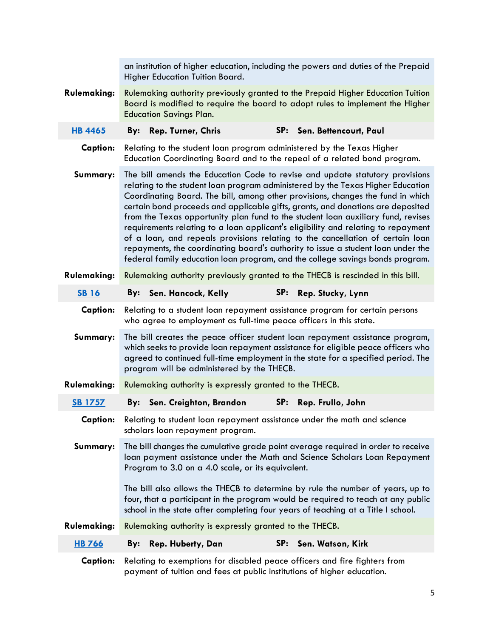|                    | an institution of higher education, including the powers and duties of the Prepaid<br>Higher Education Tuition Board.                                                                                                                                                                                                                                                                                                                                                                                                                                                                                                                                                                                                                                                 |  |  |  |  |  |
|--------------------|-----------------------------------------------------------------------------------------------------------------------------------------------------------------------------------------------------------------------------------------------------------------------------------------------------------------------------------------------------------------------------------------------------------------------------------------------------------------------------------------------------------------------------------------------------------------------------------------------------------------------------------------------------------------------------------------------------------------------------------------------------------------------|--|--|--|--|--|
| <b>Rulemaking:</b> | Rulemaking authority previously granted to the Prepaid Higher Education Tuition<br>Board is modified to require the board to adopt rules to implement the Higher<br><b>Education Savings Plan.</b>                                                                                                                                                                                                                                                                                                                                                                                                                                                                                                                                                                    |  |  |  |  |  |
| <b>HB 4465</b>     | SP: Sen. Bettencourt, Paul<br><b>Rep. Turner, Chris</b><br>By:                                                                                                                                                                                                                                                                                                                                                                                                                                                                                                                                                                                                                                                                                                        |  |  |  |  |  |
| <b>Caption:</b>    | Relating to the student loan program administered by the Texas Higher<br>Education Coordinating Board and to the repeal of a related bond program.                                                                                                                                                                                                                                                                                                                                                                                                                                                                                                                                                                                                                    |  |  |  |  |  |
| Summary:           | The bill amends the Education Code to revise and update statutory provisions<br>relating to the student loan program administered by the Texas Higher Education<br>Coordinating Board. The bill, among other provisions, changes the fund in which<br>certain bond proceeds and applicable gifts, grants, and donations are deposited<br>from the Texas opportunity plan fund to the student loan auxiliary fund, revises<br>requirements relating to a loan applicant's eligibility and relating to repayment<br>of a loan, and repeals provisions relating to the cancellation of certain loan<br>repayments, the coordinating board's authority to issue a student loan under the<br>federal family education loan program, and the college savings bonds program. |  |  |  |  |  |
| <b>Rulemaking:</b> | Rulemaking authority previously granted to the THECB is rescinded in this bill.                                                                                                                                                                                                                                                                                                                                                                                                                                                                                                                                                                                                                                                                                       |  |  |  |  |  |
| <b>SB16</b>        | Sen. Hancock, Kelly<br>SP:<br>Rep. Stucky, Lynn<br>By:                                                                                                                                                                                                                                                                                                                                                                                                                                                                                                                                                                                                                                                                                                                |  |  |  |  |  |
| <b>Caption:</b>    | Relating to a student loan repayment assistance program for certain persons<br>who agree to employment as full-time peace officers in this state.                                                                                                                                                                                                                                                                                                                                                                                                                                                                                                                                                                                                                     |  |  |  |  |  |
| Summary:           | The bill creates the peace officer student loan repayment assistance program,<br>which seeks to provide loan repayment assistance for eligible peace officers who<br>agreed to continued full-time employment in the state for a specified period. The<br>program will be administered by the THECB.                                                                                                                                                                                                                                                                                                                                                                                                                                                                  |  |  |  |  |  |
| <b>Rulemaking:</b> | Rulemaking authority is expressly granted to the THECB.                                                                                                                                                                                                                                                                                                                                                                                                                                                                                                                                                                                                                                                                                                               |  |  |  |  |  |
| <b>SB 1757</b>     | SP:<br>By: Sen. Creighton, Brandon<br>Rep. Frullo, John                                                                                                                                                                                                                                                                                                                                                                                                                                                                                                                                                                                                                                                                                                               |  |  |  |  |  |
| <b>Caption:</b>    | Relating to student loan repayment assistance under the math and science<br>scholars loan repayment program.                                                                                                                                                                                                                                                                                                                                                                                                                                                                                                                                                                                                                                                          |  |  |  |  |  |
| Summary:           | The bill changes the cumulative grade point average required in order to receive<br>loan payment assistance under the Math and Science Scholars Loan Repayment<br>Program to 3.0 on a 4.0 scale, or its equivalent.                                                                                                                                                                                                                                                                                                                                                                                                                                                                                                                                                   |  |  |  |  |  |
|                    | The bill also allows the THECB to determine by rule the number of years, up to<br>four, that a participant in the program would be required to teach at any public<br>school in the state after completing four years of teaching at a Title I school.                                                                                                                                                                                                                                                                                                                                                                                                                                                                                                                |  |  |  |  |  |
| Rulemaking:        | Rulemaking authority is expressly granted to the THECB.                                                                                                                                                                                                                                                                                                                                                                                                                                                                                                                                                                                                                                                                                                               |  |  |  |  |  |
| <b>HB 766</b>      | SP:<br>Sen. Watson, Kirk<br>Rep. Huberty, Dan<br>By:                                                                                                                                                                                                                                                                                                                                                                                                                                                                                                                                                                                                                                                                                                                  |  |  |  |  |  |
| <b>Caption:</b>    | Relating to exemptions for disabled peace officers and fire fighters from<br>payment of tuition and fees at public institutions of higher education.                                                                                                                                                                                                                                                                                                                                                                                                                                                                                                                                                                                                                  |  |  |  |  |  |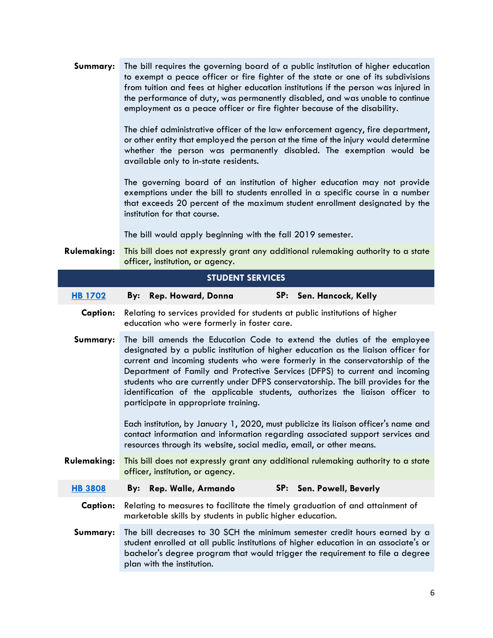| Summary:           | The bill requires the governing board of a public institution of higher education<br>to exempt a peace officer or fire fighter of the state or one of its subdivisions<br>from tuition and fees at higher education institutions if the person was injured in<br>the performance of duty, was permanently disabled, and was unable to continue<br>employment as a peace officer or fire fighter because of the disability.<br>The chief administrative officer of the law enforcement agency, fire department,<br>or other entity that employed the person at the time of the injury would determine<br>whether the person was permanently disabled. The exemption would be<br>available only to in-state residents.<br>The governing board of an institution of higher education may not provide<br>exemptions under the bill to students enrolled in a specific course in a number<br>that exceeds 20 percent of the maximum student enrollment designated by the<br>institution for that course. |  |  |  |  |  |  |
|--------------------|-----------------------------------------------------------------------------------------------------------------------------------------------------------------------------------------------------------------------------------------------------------------------------------------------------------------------------------------------------------------------------------------------------------------------------------------------------------------------------------------------------------------------------------------------------------------------------------------------------------------------------------------------------------------------------------------------------------------------------------------------------------------------------------------------------------------------------------------------------------------------------------------------------------------------------------------------------------------------------------------------------|--|--|--|--|--|--|
|                    | The bill would apply beginning with the fall 2019 semester.                                                                                                                                                                                                                                                                                                                                                                                                                                                                                                                                                                                                                                                                                                                                                                                                                                                                                                                                         |  |  |  |  |  |  |
| <b>Rulemaking:</b> | This bill does not expressly grant any additional rulemaking authority to a state<br>officer, institution, or agency.                                                                                                                                                                                                                                                                                                                                                                                                                                                                                                                                                                                                                                                                                                                                                                                                                                                                               |  |  |  |  |  |  |
|                    | <b>STUDENT SERVICES</b>                                                                                                                                                                                                                                                                                                                                                                                                                                                                                                                                                                                                                                                                                                                                                                                                                                                                                                                                                                             |  |  |  |  |  |  |
| <b>HB 1702</b>     | SP:<br>Rep. Howard, Donna<br>Sen. Hancock, Kelly<br>By:                                                                                                                                                                                                                                                                                                                                                                                                                                                                                                                                                                                                                                                                                                                                                                                                                                                                                                                                             |  |  |  |  |  |  |
| <b>Caption:</b>    | Relating to services provided for students at public institutions of higher<br>education who were formerly in foster care.                                                                                                                                                                                                                                                                                                                                                                                                                                                                                                                                                                                                                                                                                                                                                                                                                                                                          |  |  |  |  |  |  |
| Summary:           | The bill amends the Education Code to extend the duties of the employee<br>designated by a public institution of higher education as the liaison officer for<br>current and incoming students who were formerly in the conservatorship of the<br>Department of Family and Protective Services (DFPS) to current and incoming<br>students who are currently under DFPS conservatorship. The bill provides for the<br>identification of the applicable students, authorizes the liaison officer to<br>participate in appropriate training.                                                                                                                                                                                                                                                                                                                                                                                                                                                            |  |  |  |  |  |  |
|                    | Each institution, by January 1, 2020, must publicize its liaison officer's name and<br>contact information and information regarding associated support services and<br>resources through its website, social media, email, or other means.                                                                                                                                                                                                                                                                                                                                                                                                                                                                                                                                                                                                                                                                                                                                                         |  |  |  |  |  |  |
| <b>Rulemaking:</b> | This bill does not expressly grant any additional rulemaking authority to a state<br>officer, institution, or agency.                                                                                                                                                                                                                                                                                                                                                                                                                                                                                                                                                                                                                                                                                                                                                                                                                                                                               |  |  |  |  |  |  |
| <b>HB 3808</b>     | SP: Sen. Powell, Beverly<br>Rep. Walle, Armando<br>By:                                                                                                                                                                                                                                                                                                                                                                                                                                                                                                                                                                                                                                                                                                                                                                                                                                                                                                                                              |  |  |  |  |  |  |
| <b>Caption:</b>    | Relating to measures to facilitate the timely graduation of and attainment of<br>marketable skills by students in public higher education.                                                                                                                                                                                                                                                                                                                                                                                                                                                                                                                                                                                                                                                                                                                                                                                                                                                          |  |  |  |  |  |  |
| Summary:           | The bill decreases to 30 SCH the minimum semester credit hours earned by a<br>student enrolled at all public institutions of higher education in an associate's or<br>bachelor's degree program that would trigger the requirement to file a degree<br>plan with the institution.                                                                                                                                                                                                                                                                                                                                                                                                                                                                                                                                                                                                                                                                                                                   |  |  |  |  |  |  |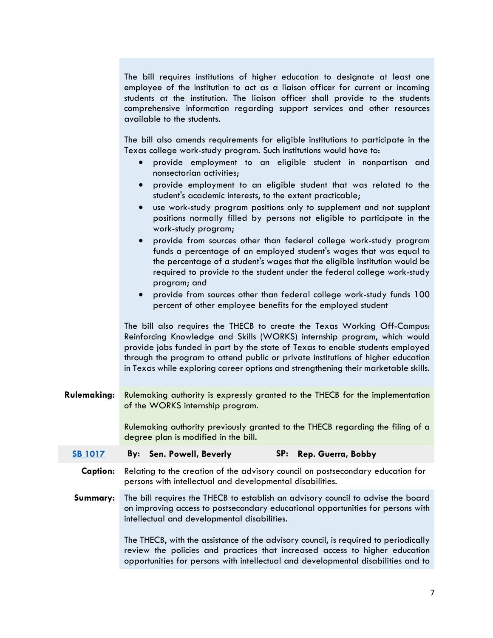The bill requires institutions of higher education to designate at least one employee of the institution to act as a liaison officer for current or incoming students at the institution. The liaison officer shall provide to the students comprehensive information regarding support services and other resources available to the students.

The bill also amends requirements for eligible institutions to participate in the Texas college work-study program. Such institutions would have to:

- provide employment to an eligible student in nonpartisan and nonsectarian activities;
- provide employment to an eligible student that was related to the student's academic interests, to the extent practicable;
- use work-study program positions only to supplement and not supplant positions normally filled by persons not eligible to participate in the work-study program;
- provide from sources other than federal college work-study program funds a percentage of an employed student's wages that was equal to the percentage of a student's wages that the eligible institution would be required to provide to the student under the federal college work-study program; and
- provide from sources other than federal college work-study funds 100 percent of other employee benefits for the employed student

The bill also requires the THECB to create the Texas Working Off-Campus: Reinforcing Knowledge and Skills (WORKS) internship program, which would provide jobs funded in part by the state of Texas to enable students employed through the program to attend public or private institutions of higher education in Texas while exploring career options and strengthening their marketable skills.

**Rulemaking:** Rulemaking authority is expressly granted to the THECB for the implementation of the WORKS internship program.

> Rulemaking authority previously granted to the THECB regarding the filing of a degree plan is modified in the bill.

- **[SB 1017](http://www.capitol.state.tx.us/BillLookup/History.aspx?LegSess=86R&Bill=SB01017) By: Sen. Powell, Beverly SP: Rep. Guerra, Bobby**
- **Caption:** Relating to the creation of the advisory council on postsecondary education for persons with intellectual and developmental disabilities.
- **Summary:** The bill requires the THECB to establish an advisory council to advise the board on improving access to postsecondary educational opportunities for persons with intellectual and developmental disabilities.

The THECB, with the assistance of the advisory council, is required to periodically review the policies and practices that increased access to higher education opportunities for persons with intellectual and developmental disabilities and to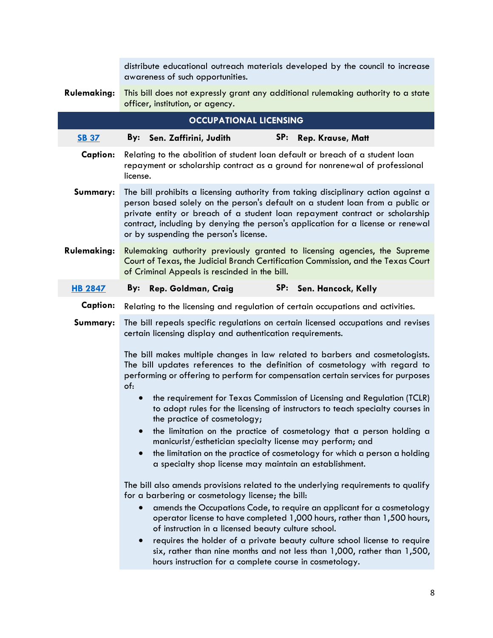|                    | distribute educational outreach materials developed by the council to increase<br>awareness of such opportunities.                                                                                                                                                                                                                                                                                                                                                                                                                                                      |  |  |  |  |  |  |
|--------------------|-------------------------------------------------------------------------------------------------------------------------------------------------------------------------------------------------------------------------------------------------------------------------------------------------------------------------------------------------------------------------------------------------------------------------------------------------------------------------------------------------------------------------------------------------------------------------|--|--|--|--|--|--|
| <b>Rulemaking:</b> | This bill does not expressly grant any additional rulemaking authority to a state<br>officer, institution, or agency.                                                                                                                                                                                                                                                                                                                                                                                                                                                   |  |  |  |  |  |  |
|                    | <b>OCCUPATIONAL LICENSING</b>                                                                                                                                                                                                                                                                                                                                                                                                                                                                                                                                           |  |  |  |  |  |  |
| <b>SB 37</b>       | SP:<br>Rep. Krause, Matt<br>By: Sen. Zaffirini, Judith                                                                                                                                                                                                                                                                                                                                                                                                                                                                                                                  |  |  |  |  |  |  |
| <b>Caption:</b>    | Relating to the abolition of student loan default or breach of a student loan<br>repayment or scholarship contract as a ground for nonrenewal of professional<br>license.                                                                                                                                                                                                                                                                                                                                                                                               |  |  |  |  |  |  |
| Summary:           | The bill prohibits a licensing authority from taking disciplinary action against a<br>person based solely on the person's default on a student loan from a public or<br>private entity or breach of a student loan repayment contract or scholarship<br>contract, including by denying the person's application for a license or renewal<br>or by suspending the person's license.                                                                                                                                                                                      |  |  |  |  |  |  |
| <b>Rulemaking:</b> | Rulemaking authority previously granted to licensing agencies, the Supreme<br>Court of Texas, the Judicial Branch Certification Commission, and the Texas Court<br>of Criminal Appeals is rescinded in the bill.                                                                                                                                                                                                                                                                                                                                                        |  |  |  |  |  |  |
| <b>HB 2847</b>     | Rep. Goldman, Craig<br>SP:<br>Sen. Hancock, Kelly<br>By:                                                                                                                                                                                                                                                                                                                                                                                                                                                                                                                |  |  |  |  |  |  |
| <b>Caption:</b>    | Relating to the licensing and regulation of certain occupations and activities.                                                                                                                                                                                                                                                                                                                                                                                                                                                                                         |  |  |  |  |  |  |
| Summary:           | The bill repeals specific regulations on certain licensed occupations and revises<br>certain licensing display and authentication requirements.                                                                                                                                                                                                                                                                                                                                                                                                                         |  |  |  |  |  |  |
|                    | The bill makes multiple changes in law related to barbers and cosmetologists.<br>The bill updates references to the definition of cosmetology with regard to<br>performing or offering to perform for compensation certain services for purposes<br>of:                                                                                                                                                                                                                                                                                                                 |  |  |  |  |  |  |
|                    | the requirement for Texas Commission of Licensing and Regulation (TCLR)<br>$\bullet$<br>to adopt rules for the licensing of instructors to teach specialty courses in<br>the practice of cosmetology;                                                                                                                                                                                                                                                                                                                                                                   |  |  |  |  |  |  |
|                    | the limitation on the practice of cosmetology that a person holding a<br>$\bullet$<br>manicurist/esthetician specialty license may perform; and<br>the limitation on the practice of cosmetology for which a person a holding<br>a specialty shop license may maintain an establishment.                                                                                                                                                                                                                                                                                |  |  |  |  |  |  |
|                    | The bill also amends provisions related to the underlying requirements to qualify<br>for a barbering or cosmetology license; the bill:<br>amends the Occupations Code, to require an applicant for a cosmetology<br>operator license to have completed 1,000 hours, rather than 1,500 hours,<br>of instruction in a licensed beauty culture school.<br>requires the holder of a private beauty culture school license to require<br>six, rather than nine months and not less than 1,000, rather than 1,500,<br>hours instruction for a complete course in cosmetology. |  |  |  |  |  |  |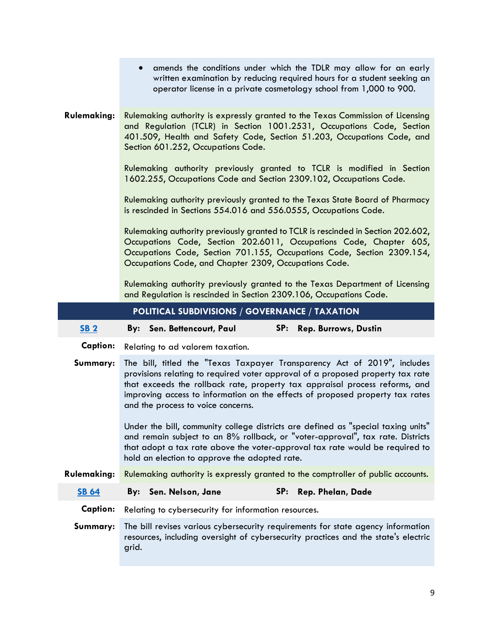|                    | amends the conditions under which the TDLR may allow for an early<br>$\bullet$<br>written examination by reducing required hours for a student seeking an<br>operator license in a private cosmetology school from 1,000 to 900.                                                                                                                                 |  |  |  |  |  |  |  |
|--------------------|------------------------------------------------------------------------------------------------------------------------------------------------------------------------------------------------------------------------------------------------------------------------------------------------------------------------------------------------------------------|--|--|--|--|--|--|--|
| <b>Rulemaking:</b> | Rulemaking authority is expressly granted to the Texas Commission of Licensing<br>and Regulation (TCLR) in Section 1001.2531, Occupations Code, Section<br>401.509, Health and Safety Code, Section 51.203, Occupations Code, and<br>Section 601.252, Occupations Code.                                                                                          |  |  |  |  |  |  |  |
|                    | Rulemaking authority previously granted to TCLR is modified in Section<br>1602.255, Occupations Code and Section 2309.102, Occupations Code.                                                                                                                                                                                                                     |  |  |  |  |  |  |  |
|                    | Rulemaking authority previously granted to the Texas State Board of Pharmacy<br>is rescinded in Sections 554.016 and 556.0555, Occupations Code.                                                                                                                                                                                                                 |  |  |  |  |  |  |  |
|                    | Rulemaking authority previously granted to TCLR is rescinded in Section 202.602,<br>Occupations Code, Section 202.6011, Occupations Code, Chapter 605,<br>Occupations Code, Section 701.155, Occupations Code, Section 2309.154,<br>Occupations Code, and Chapter 2309, Occupations Code.                                                                        |  |  |  |  |  |  |  |
|                    | Rulemaking authority previously granted to the Texas Department of Licensing                                                                                                                                                                                                                                                                                     |  |  |  |  |  |  |  |
|                    | and Regulation is rescinded in Section 2309.106, Occupations Code.                                                                                                                                                                                                                                                                                               |  |  |  |  |  |  |  |
|                    | POLITICAL SUBDIVISIONS / GOVERNANCE / TAXATION                                                                                                                                                                                                                                                                                                                   |  |  |  |  |  |  |  |
| <b>SB 2</b>        | SP:<br>By: Sen. Bettencourt, Paul<br><b>Rep. Burrows, Dustin</b>                                                                                                                                                                                                                                                                                                 |  |  |  |  |  |  |  |
| <b>Caption:</b>    | Relating to ad valorem taxation.                                                                                                                                                                                                                                                                                                                                 |  |  |  |  |  |  |  |
| Summary:           | The bill, titled the "Texas Taxpayer Transparency Act of 2019", includes<br>provisions relating to required voter approval of a proposed property tax rate<br>that exceeds the rollback rate, property tax appraisal process reforms, and<br>improving access to information on the effects of proposed property tax rates<br>and the process to voice concerns. |  |  |  |  |  |  |  |
|                    | Under the bill, community college districts are defined as "special taxing units"<br>and remain subject to an 8% rollback, or "voter-approval", tax rate. Districts<br>that adopt a tax rate above the voter-approval tax rate would be required to<br>hold an election to approve the adopted rate.                                                             |  |  |  |  |  |  |  |
| <b>Rulemaking:</b> | Rulemaking authority is expressly granted to the comptroller of public accounts.                                                                                                                                                                                                                                                                                 |  |  |  |  |  |  |  |
| <b>SB 64</b>       | SP:<br>Sen. Nelson, Jane<br>Rep. Phelan, Dade<br>By:                                                                                                                                                                                                                                                                                                             |  |  |  |  |  |  |  |
| <b>Caption:</b>    | Relating to cybersecurity for information resources.                                                                                                                                                                                                                                                                                                             |  |  |  |  |  |  |  |

**Summary:** The bill revises various cybersecurity requirements for state agency information resources, including oversight of cybersecurity practices and the state's electric grid.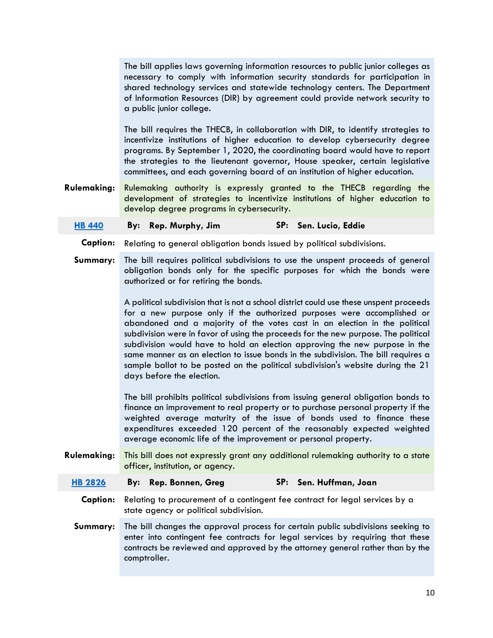|                    | The bill applies laws governing information resources to public junior colleges as<br>necessary to comply with information security standards for participation in<br>shared technology services and statewide technology centers. The Department<br>of Information Resources (DIR) by agreement could provide network security to<br>a public junior college.                                                                                                                                                                                                                                                           |                           |  |  |  |  |
|--------------------|--------------------------------------------------------------------------------------------------------------------------------------------------------------------------------------------------------------------------------------------------------------------------------------------------------------------------------------------------------------------------------------------------------------------------------------------------------------------------------------------------------------------------------------------------------------------------------------------------------------------------|---------------------------|--|--|--|--|
|                    | The bill requires the THECB, in collaboration with DIR, to identify strategies to<br>incentivize institutions of higher education to develop cybersecurity degree<br>programs. By September 1, 2020, the coordinating board would have to report<br>the strategies to the lieutenant governor, House speaker, certain legislative<br>committees, and each governing board of an institution of higher education.                                                                                                                                                                                                         |                           |  |  |  |  |
| <b>Rulemaking:</b> | Rulemaking authority is expressly granted to the THECB regarding the<br>development of strategies to incentivize institutions of higher education to<br>develop degree programs in cybersecurity.                                                                                                                                                                                                                                                                                                                                                                                                                        |                           |  |  |  |  |
| <b>HB 440</b>      | Rep. Murphy, Jim<br>By:                                                                                                                                                                                                                                                                                                                                                                                                                                                                                                                                                                                                  | SP: Sen. Lucio, Eddie     |  |  |  |  |
| <b>Caption:</b>    | Relating to general obligation bonds issued by political subdivisions.                                                                                                                                                                                                                                                                                                                                                                                                                                                                                                                                                   |                           |  |  |  |  |
| Summary:           | The bill requires political subdivisions to use the unspent proceeds of general<br>obligation bonds only for the specific purposes for which the bonds were<br>authorized or for retiring the bonds.                                                                                                                                                                                                                                                                                                                                                                                                                     |                           |  |  |  |  |
|                    | A political subdivision that is not a school district could use these unspent proceeds<br>for a new purpose only if the authorized purposes were accomplished or<br>abandoned and a majority of the votes cast in an election in the political<br>subdivision were in favor of using the proceeds for the new purpose. The political<br>subdivision would have to hold an election approving the new purpose in the<br>same manner as an election to issue bonds in the subdivision. The bill requires a<br>sample ballot to be posted on the political subdivision's website during the 21<br>days before the election. |                           |  |  |  |  |
|                    | The bill prohibits political subdivisions from issuing general obligation bonds to<br>finance an improvement to real property or to purchase personal property if the<br>weighted average maturity of the issue of bonds used to finance these<br>expenditures exceeded 120 percent of the reasonably expected weighted<br>average economic life of the improvement or personal property.                                                                                                                                                                                                                                |                           |  |  |  |  |
| <b>Rulemaking:</b> | This bill does not expressly grant any additional rulemaking authority to a state<br>officer, institution, or agency.                                                                                                                                                                                                                                                                                                                                                                                                                                                                                                    |                           |  |  |  |  |
| <b>HB 2826</b>     | Rep. Bonnen, Greg<br>By:                                                                                                                                                                                                                                                                                                                                                                                                                                                                                                                                                                                                 | SP:<br>Sen. Huffman, Joan |  |  |  |  |
| <b>Caption:</b>    | Relating to procurement of a contingent fee contract for legal services by a<br>state agency or political subdivision.                                                                                                                                                                                                                                                                                                                                                                                                                                                                                                   |                           |  |  |  |  |
| Summary:           | The bill changes the approval process for certain public subdivisions seeking to<br>enter into contingent fee contracts for legal services by requiring that these<br>contracts be reviewed and approved by the attorney general rather than by the<br>comptroller.                                                                                                                                                                                                                                                                                                                                                      |                           |  |  |  |  |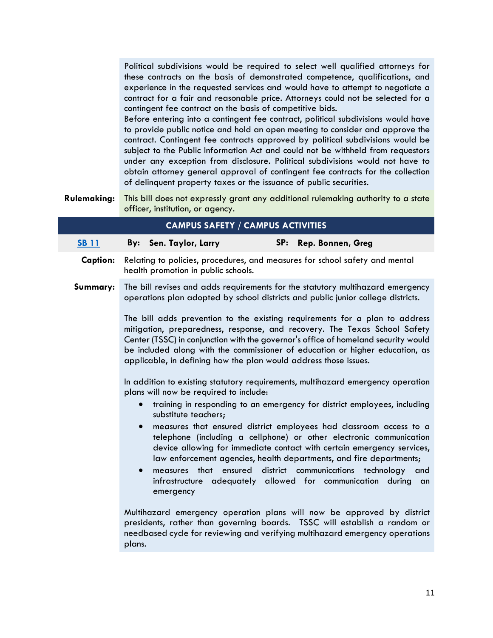Political subdivisions would be required to select well qualified attorneys for these contracts on the basis of demonstrated competence, qualifications, and experience in the requested services and would have to attempt to negotiate a contract for a fair and reasonable price. Attorneys could not be selected for a contingent fee contract on the basis of competitive bids.

Before entering into a contingent fee contract, political subdivisions would have to provide public notice and hold an open meeting to consider and approve the contract. Contingent fee contracts approved by political subdivisions would be subject to the Public Information Act and could not be withheld from requestors under any exception from disclosure. Political subdivisions would not have to obtain attorney general approval of contingent fee contracts for the collection of delinquent property taxes or the issuance of public securities.

**Rulemaking:** This bill does not expressly grant any additional rulemaking authority to a state officer, institution, or agency.

|                 |                                     |                                                                                         | <b>CAMPUS SAFETY / CAMPUS ACTIVITIES</b> |     |                                                                                                                                                                                                                                                                                                                                                                                                                                                                                                                                                                                                                                                                                                                                                                                                                                                                                                                                                                                                                                                                                                                                                                                                                                                                                                                            |  |
|-----------------|-------------------------------------|-----------------------------------------------------------------------------------------|------------------------------------------|-----|----------------------------------------------------------------------------------------------------------------------------------------------------------------------------------------------------------------------------------------------------------------------------------------------------------------------------------------------------------------------------------------------------------------------------------------------------------------------------------------------------------------------------------------------------------------------------------------------------------------------------------------------------------------------------------------------------------------------------------------------------------------------------------------------------------------------------------------------------------------------------------------------------------------------------------------------------------------------------------------------------------------------------------------------------------------------------------------------------------------------------------------------------------------------------------------------------------------------------------------------------------------------------------------------------------------------------|--|
| <b>SB 11</b>    |                                     | By: Sen. Taylor, Larry                                                                  |                                          | SP: | Rep. Bonnen, Greg                                                                                                                                                                                                                                                                                                                                                                                                                                                                                                                                                                                                                                                                                                                                                                                                                                                                                                                                                                                                                                                                                                                                                                                                                                                                                                          |  |
| <b>Caption:</b> |                                     | health promotion in public schools.                                                     |                                          |     | Relating to policies, procedures, and measures for school safety and mental                                                                                                                                                                                                                                                                                                                                                                                                                                                                                                                                                                                                                                                                                                                                                                                                                                                                                                                                                                                                                                                                                                                                                                                                                                                |  |
| Summary:        | $\bullet$<br>$\bullet$<br>$\bullet$ | plans will now be required to include:<br>substitute teachers;<br>measures<br>emergency |                                          |     | The bill revises and adds requirements for the statutory multihazard emergency<br>operations plan adopted by school districts and public junior college districts.<br>The bill adds prevention to the existing requirements for a plan to address<br>mitigation, preparedness, response, and recovery. The Texas School Safety<br>Center (TSSC) in conjunction with the governor's office of homeland security would<br>be included along with the commissioner of education or higher education, as<br>applicable, in defining how the plan would address those issues.<br>In addition to existing statutory requirements, multihazard emergency operation<br>training in responding to an emergency for district employees, including<br>measures that ensured district employees had classroom access to a<br>telephone (including a cellphone) or other electronic communication<br>device allowing for immediate contact with certain emergency services,<br>law enforcement agencies, health departments, and fire departments;<br>that ensured district communications technology and<br>infrastructure adequately allowed for communication<br>during<br>an<br>Multihazard emergency operation plans will now be approved by district<br>presidents, rather than governing boards. TSSC will establish a random or |  |
|                 | plans.                              |                                                                                         |                                          |     | needbased cycle for reviewing and verifying multihazard emergency operations                                                                                                                                                                                                                                                                                                                                                                                                                                                                                                                                                                                                                                                                                                                                                                                                                                                                                                                                                                                                                                                                                                                                                                                                                                               |  |
|                 |                                     |                                                                                         |                                          |     |                                                                                                                                                                                                                                                                                                                                                                                                                                                                                                                                                                                                                                                                                                                                                                                                                                                                                                                                                                                                                                                                                                                                                                                                                                                                                                                            |  |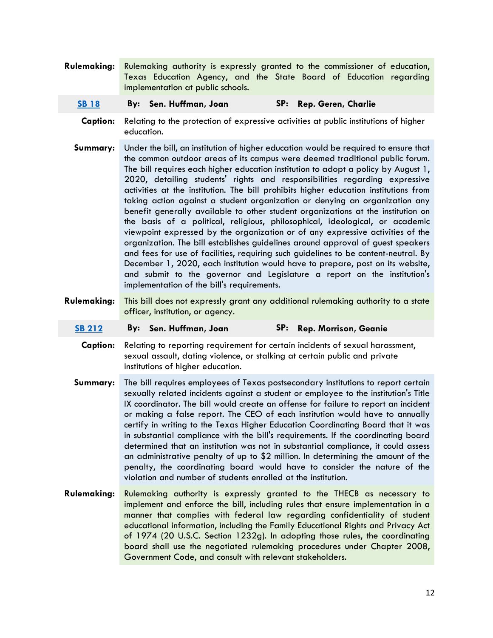- **Rulemaking:** Rulemaking authority is expressly granted to the commissioner of education, Texas Education Agency, and the State Board of Education regarding implementation at public schools.
	- **[SB 18](http://www.capitol.state.tx.us/BillLookup/History.aspx?LegSess=86R&Bill=SB00018) By: Sen. Huffman, Joan SP: Rep. Geren, Charlie**
	- **Caption:** Relating to the protection of expressive activities at public institutions of higher education.
	- **Summary:** Under the bill, an institution of higher education would be required to ensure that the common outdoor areas of its campus were deemed traditional public forum. The bill requires each higher education institution to adopt a policy by August 1, 2020, detailing students' rights and responsibilities regarding expressive activities at the institution. The bill prohibits higher education institutions from taking action against a student organization or denying an organization any benefit generally available to other student organizations at the institution on the basis of a political, religious, philosophical, ideological, or academic viewpoint expressed by the organization or of any expressive activities of the organization. The bill establishes guidelines around approval of guest speakers and fees for use of facilities, requiring such guidelines to be content-neutral. By December 1, 2020, each institution would have to prepare, post on its website, and submit to the governor and Legislature a report on the institution's implementation of the bill's requirements.
- **Rulemaking:** This bill does not expressly grant any additional rulemaking authority to a state officer, institution, or agency.
	- **[SB 212](http://www.capitol.state.tx.us/BillLookup/History.aspx?LegSess=86R&Bill=SB00212) By: Sen. Huffman, Joan SP: Rep. Morrison, Geanie**
		- **Caption:** Relating to reporting requirement for certain incidents of sexual harassment, sexual assault, dating violence, or stalking at certain public and private institutions of higher education.
	- **Summary:** The bill requires employees of Texas postsecondary institutions to report certain sexually related incidents against a student or employee to the institution's Title IX coordinator. The bill would create an offense for failure to report an incident or making a false report. The CEO of each institution would have to annually certify in writing to the Texas Higher Education Coordinating Board that it was in substantial compliance with the bill's requirements. If the coordinating board determined that an institution was not in substantial compliance, it could assess an administrative penalty of up to \$2 million. In determining the amount of the penalty, the coordinating board would have to consider the nature of the violation and number of students enrolled at the institution.
- **Rulemaking:** Rulemaking authority is expressly granted to the THECB as necessary to implement and enforce the bill, including rules that ensure implementation in a manner that complies with federal law regarding confidentiality of student educational information, including the Family Educational Rights and Privacy Act of 1974 (20 U.S.C. Section 1232g). In adopting those rules, the coordinating board shall use the negotiated rulemaking procedures under Chapter 2008, Government Code, and consult with relevant stakeholders.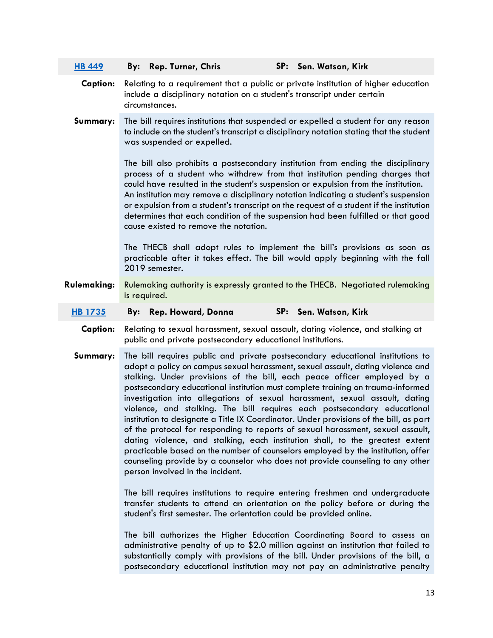| <b>HB 449</b>   | By:<br><b>Rep. Turner, Chris</b>                                                                                                                                                | SP: Sen. Watson, Kirk                                                                                                                                                                                                                                                                                                                                                                                                                                                                                                                                                                                                                                                                                                                                                                                                                                                                                                           |  |  |  |  |  |  |  |
|-----------------|---------------------------------------------------------------------------------------------------------------------------------------------------------------------------------|---------------------------------------------------------------------------------------------------------------------------------------------------------------------------------------------------------------------------------------------------------------------------------------------------------------------------------------------------------------------------------------------------------------------------------------------------------------------------------------------------------------------------------------------------------------------------------------------------------------------------------------------------------------------------------------------------------------------------------------------------------------------------------------------------------------------------------------------------------------------------------------------------------------------------------|--|--|--|--|--|--|--|
| <b>Caption:</b> | Relating to a requirement that a public or private institution of higher education<br>include a disciplinary notation on a student's transcript under certain<br>circumstances. |                                                                                                                                                                                                                                                                                                                                                                                                                                                                                                                                                                                                                                                                                                                                                                                                                                                                                                                                 |  |  |  |  |  |  |  |
| Summary:        | was suspended or expelled.                                                                                                                                                      | The bill requires institutions that suspended or expelled a student for any reason<br>to include on the student's transcript a disciplinary notation stating that the student                                                                                                                                                                                                                                                                                                                                                                                                                                                                                                                                                                                                                                                                                                                                                   |  |  |  |  |  |  |  |
|                 |                                                                                                                                                                                 | The bill also prohibits a postsecondary institution from ending the disciplinary<br>process of a student who withdrew from that institution pending charges that<br>could have resulted in the student's suspension or expulsion from the institution.<br>An institution may remove a disciplinary notation indicating a student's suspension<br>or expulsion from a student's transcript on the request of a student if the institution<br>determines that each condition of the suspension had been fulfilled or that good<br>cause existed to remove the notation.                                                                                                                                                                                                                                                                                                                                                           |  |  |  |  |  |  |  |
|                 | 2019 semester.                                                                                                                                                                  | The THECB shall adopt rules to implement the bill's provisions as soon as<br>practicable after it takes effect. The bill would apply beginning with the fall                                                                                                                                                                                                                                                                                                                                                                                                                                                                                                                                                                                                                                                                                                                                                                    |  |  |  |  |  |  |  |
| Rulemaking:     | is required.                                                                                                                                                                    | Rulemaking authority is expressly granted to the THECB. Negotiated rulemaking                                                                                                                                                                                                                                                                                                                                                                                                                                                                                                                                                                                                                                                                                                                                                                                                                                                   |  |  |  |  |  |  |  |
| <b>HB 1735</b>  | Rep. Howard, Donna<br>By:                                                                                                                                                       | SP: Sen. Watson, Kirk                                                                                                                                                                                                                                                                                                                                                                                                                                                                                                                                                                                                                                                                                                                                                                                                                                                                                                           |  |  |  |  |  |  |  |
| <b>Caption:</b> | public and private postsecondary educational institutions.                                                                                                                      | Relating to sexual harassment, sexual assault, dating violence, and stalking at                                                                                                                                                                                                                                                                                                                                                                                                                                                                                                                                                                                                                                                                                                                                                                                                                                                 |  |  |  |  |  |  |  |
| Summary:        | person involved in the incident.                                                                                                                                                | The bill requires public and private postsecondary educational institutions to<br>adopt a policy on campus sexual harassment, sexual assault, dating violence and<br>stalking. Under provisions of the bill, each peace officer employed by a<br>postsecondary educational institution must complete training on trauma-informed<br>investigation into allegations of sexual harassment, sexual assault, dating<br>violence, and stalking. The bill requires each postsecondary educational<br>institution to designate a Title IX Coordinator. Under provisions of the bill, as part<br>of the protocol for responding to reports of sexual harassment, sexual assault,<br>dating violence, and stalking, each institution shall, to the greatest extent<br>practicable based on the number of counselors employed by the institution, offer<br>counseling provide by a counselor who does not provide counseling to any other |  |  |  |  |  |  |  |
|                 | student's first semester. The orientation could be provided online.                                                                                                             | The bill requires institutions to require entering freshmen and undergraduate<br>transfer students to attend an orientation on the policy before or during the                                                                                                                                                                                                                                                                                                                                                                                                                                                                                                                                                                                                                                                                                                                                                                  |  |  |  |  |  |  |  |
|                 |                                                                                                                                                                                 | The bill authorizes the Higher Education Coordinating Board to assess an<br>administrative penalty of up to \$2.0 million against an institution that failed to<br>substantially comply with provisions of the bill. Under provisions of the bill, a<br>postsecondary educational institution may not pay an administrative penalty                                                                                                                                                                                                                                                                                                                                                                                                                                                                                                                                                                                             |  |  |  |  |  |  |  |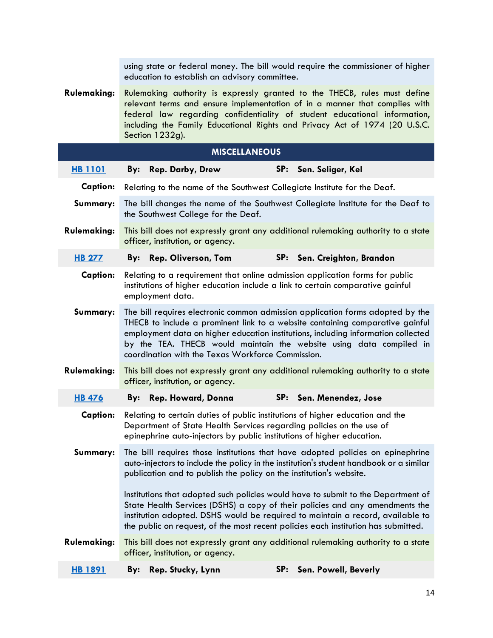|                    |                                                                                                                                                                                                                                                                                                                                                                                  | using state or federal money. The bill would require the commissioner of higher                                                                                                                                                 |  |  |  |  |
|--------------------|----------------------------------------------------------------------------------------------------------------------------------------------------------------------------------------------------------------------------------------------------------------------------------------------------------------------------------------------------------------------------------|---------------------------------------------------------------------------------------------------------------------------------------------------------------------------------------------------------------------------------|--|--|--|--|
|                    | education to establish an advisory committee.                                                                                                                                                                                                                                                                                                                                    |                                                                                                                                                                                                                                 |  |  |  |  |
| <b>Rulemaking:</b> | Rulemaking authority is expressly granted to the THECB, rules must define<br>relevant terms and ensure implementation of in a manner that complies with<br>federal law regarding confidentiality of student educational information,<br>including the Family Educational Rights and Privacy Act of 1974 (20 U.S.C.<br>Section 1232g).                                            |                                                                                                                                                                                                                                 |  |  |  |  |
|                    | <b>MISCELLANEOUS</b>                                                                                                                                                                                                                                                                                                                                                             |                                                                                                                                                                                                                                 |  |  |  |  |
| <b>HB 1101</b>     | By:<br><b>Rep. Darby, Drew</b>                                                                                                                                                                                                                                                                                                                                                   | SP:<br>Sen. Seliger, Kel                                                                                                                                                                                                        |  |  |  |  |
| <b>Caption:</b>    |                                                                                                                                                                                                                                                                                                                                                                                  | Relating to the name of the Southwest Collegiate Institute for the Deaf.                                                                                                                                                        |  |  |  |  |
| Summary:           | the Southwest College for the Deaf.                                                                                                                                                                                                                                                                                                                                              | The bill changes the name of the Southwest Collegiate Institute for the Deaf to                                                                                                                                                 |  |  |  |  |
| <b>Rulemaking:</b> | officer, institution, or agency.                                                                                                                                                                                                                                                                                                                                                 | This bill does not expressly grant any additional rulemaking authority to a state                                                                                                                                               |  |  |  |  |
| <b>HB 277</b>      | Rep. Oliverson, Tom<br>By:                                                                                                                                                                                                                                                                                                                                                       | SP: Sen. Creighton, Brandon                                                                                                                                                                                                     |  |  |  |  |
| <b>Caption:</b>    | Relating to a requirement that online admission application forms for public<br>institutions of higher education include a link to certain comparative gainful<br>employment data.                                                                                                                                                                                               |                                                                                                                                                                                                                                 |  |  |  |  |
| Summary:           | The bill requires electronic common admission application forms adopted by the<br>THECB to include a prominent link to a website containing comparative gainful<br>employment data on higher education institutions, including information collected<br>by the TEA. THECB would maintain the website using data compiled in<br>coordination with the Texas Workforce Commission. |                                                                                                                                                                                                                                 |  |  |  |  |
| <b>Rulemaking:</b> | officer, institution, or agency.                                                                                                                                                                                                                                                                                                                                                 | This bill does not expressly grant any additional rulemaking authority to a state                                                                                                                                               |  |  |  |  |
| <b>HB 476</b>      | Rep. Howard, Donna<br>By:                                                                                                                                                                                                                                                                                                                                                        | SP:<br>Sen. Menendez, Jose                                                                                                                                                                                                      |  |  |  |  |
| <b>Caption:</b>    |                                                                                                                                                                                                                                                                                                                                                                                  | Relating to certain duties of public institutions of higher education and the<br>Department of State Health Services regarding policies on the use of<br>epinephrine auto-injectors by public institutions of higher education. |  |  |  |  |
| Summary:           | The bill requires those institutions that have adopted policies on epinephrine<br>auto-injectors to include the policy in the institution's student handbook or a similar<br>publication and to publish the policy on the institution's website.                                                                                                                                 |                                                                                                                                                                                                                                 |  |  |  |  |
|                    | Institutions that adopted such policies would have to submit to the Department of<br>State Health Services (DSHS) a copy of their policies and any amendments the<br>institution adopted. DSHS would be required to maintain a record, available to<br>the public on request, of the most recent policies each institution has submitted.                                        |                                                                                                                                                                                                                                 |  |  |  |  |
| <b>Rulemaking:</b> | officer, institution, or agency.                                                                                                                                                                                                                                                                                                                                                 | This bill does not expressly grant any additional rulemaking authority to a state                                                                                                                                               |  |  |  |  |
| <b>HB 1891</b>     | Rep. Stucky, Lynn<br>By:                                                                                                                                                                                                                                                                                                                                                         | SP:<br>Sen. Powell, Beverly                                                                                                                                                                                                     |  |  |  |  |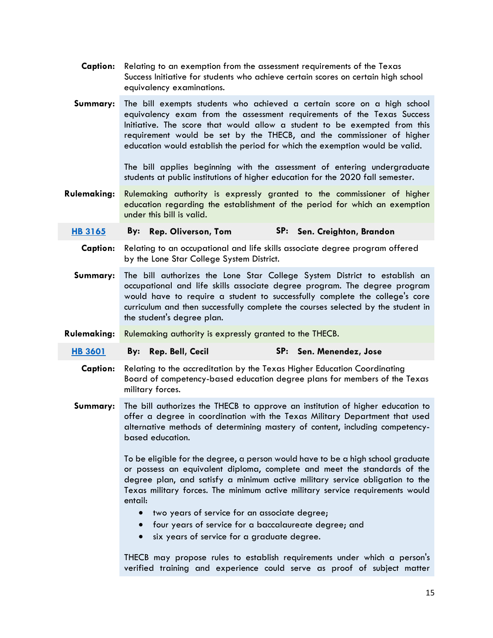- **Caption:** Relating to an exemption from the assessment requirements of the Texas Success Initiative for students who achieve certain scores on certain high school equivalency examinations.
- **Summary:** The bill exempts students who achieved a certain score on a high school equivalency exam from the assessment requirements of the Texas Success Initiative. The score that would allow a student to be exempted from this requirement would be set by the THECB, and the commissioner of higher education would establish the period for which the exemption would be valid.

The bill applies beginning with the assessment of entering undergraduate students at public institutions of higher education for the 2020 fall semester.

**Rulemaking:** Rulemaking authority is expressly granted to the commissioner of higher education regarding the establishment of the period for which an exemption under this bill is valid.

# **[HB 3165](http://www.capitol.state.tx.us/BillLookup/History.aspx?LegSess=86R&Bill=HB03165) By: Rep. Oliverson, Tom SP: Sen. Creighton, Brandon**

- **Caption:** Relating to an occupational and life skills associate degree program offered by the Lone Star College System District.
- **Summary:** The bill authorizes the Lone Star College System District to establish an occupational and life skills associate degree program. The degree program would have to require a student to successfully complete the college's core curriculum and then successfully complete the courses selected by the student in the student's degree plan.
- **Rulemaking:** Rulemaking authority is expressly granted to the THECB.
- **[HB 3601](http://www.capitol.state.tx.us/BillLookup/History.aspx?LegSess=86R&Bill=HB03601) By: Rep. Bell, Cecil SP: Sen. Menendez, Jose**
	- **Caption:** Relating to the accreditation by the Texas Higher Education Coordinating Board of competency-based education degree plans for members of the Texas military forces.
	- **Summary:** The bill authorizes the THECB to approve an institution of higher education to offer a degree in coordination with the Texas Military Department that used alternative methods of determining mastery of content, including competencybased education.

To be eligible for the degree, a person would have to be a high school graduate or possess an equivalent diploma, complete and meet the standards of the degree plan, and satisfy a minimum active military service obligation to the Texas military forces. The minimum active military service requirements would entail:

- two years of service for an associate degree;
- four years of service for a baccalaureate degree; and
- six years of service for a graduate degree.

THECB may propose rules to establish requirements under which a person's verified training and experience could serve as proof of subject matter